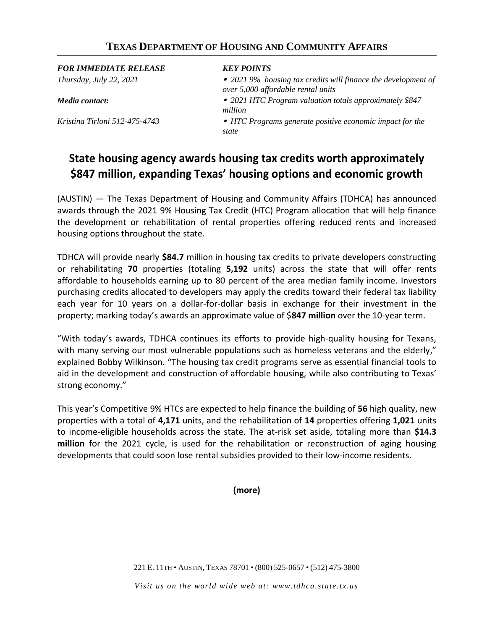## **TEXAS DEPARTMENT OF HOUSING AND COMMUNITY AFFAIRS**

*FOR IMMEDIATE RELEASE KEY POINTS Thursday, July 22, 2021 2021 9% housing tax credits will finance the development of over 5,000 affordable rental units Media contact: 2021 HTC Program valuation totals approximately \$847 million Kristina Tirloni 512-475-4743 HTC Programs generate positive economic impact for the state*

## **State housing agency awards housing tax credits worth approximately \$847 million, expanding Texas' housing options and economic growth**

(AUSTIN) — The Texas Department of Housing and Community Affairs (TDHCA) has announced awards through the 2021 9% Housing Tax Credit (HTC) Program allocation that will help finance the development or rehabilitation of rental properties offering reduced rents and increased housing options throughout the state.

TDHCA will provide nearly **\$84.7** million in housing tax credits to private developers constructing or rehabilitating **70** properties (totaling **5,192** units) across the state that will offer rents affordable to households earning up to 80 percent of the area median family income. Investors purchasing credits allocated to developers may apply the credits toward their federal tax liability each year for 10 years on a dollar-for-dollar basis in exchange for their investment in the property; marking today's awards an approximate value of \$**847 million** over the 10-year term.

"With today's awards, TDHCA continues its efforts to provide high-quality housing for Texans, with many serving our most vulnerable populations such as homeless veterans and the elderly," explained Bobby Wilkinson. "The housing tax credit programs serve as essential financial tools to aid in the development and construction of affordable housing, while also contributing to Texas' strong economy."

This year's Competitive 9% HTCs are expected to help finance the building of **56** high quality, new properties with a total of **4,171** units, and the rehabilitation of **14** properties offering **1,021** units to income-eligible households across the state. The at-risk set aside, totaling more than **\$14.3 million** for the 2021 cycle, is used for the rehabilitation or reconstruction of aging housing developments that could soon lose rental subsidies provided to their low-income residents.

**(more)**

221 E. 11TH • AUSTIN, TEXAS 78701 • (800) 525-0657 • (512) 475-3800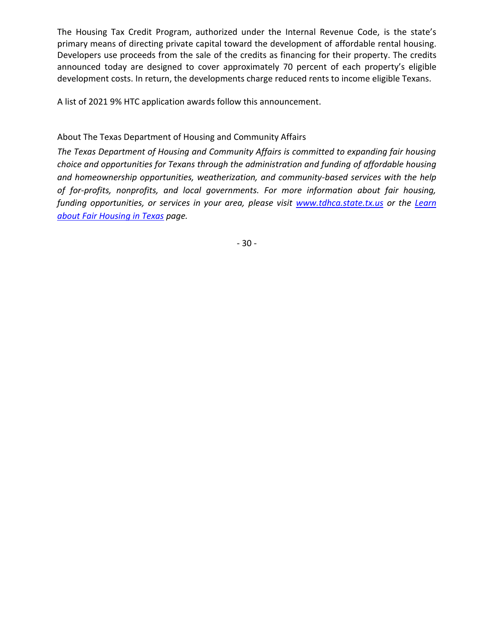The Housing Tax Credit Program, authorized under the Internal Revenue Code, is the state's primary means of directing private capital toward the development of affordable rental housing. Developers use proceeds from the sale of the credits as financing for their property. The credits announced today are designed to cover approximately 70 percent of each property's eligible development costs. In return, the developments charge reduced rents to income eligible Texans.

A list of 2021 9% HTC application awards follow this announcement.

About The Texas Department of Housing and Community Affairs

*The Texas Department of Housing and Community Affairs is committed to expanding fair housing choice and opportunities for Texans through the administration and funding of affordable housing and homeownership opportunities, weatherization, and community-based services with the help of for-profits, nonprofits, and local governments. For more information about fair housing, funding opportunities, or services in your area, please visit [www.tdhca.state.tx.us](http://www.tdhca.state.tx.us/) or the [Learn](http://www.tdhca.state.tx.us/housing-center/fair-housing/index.htm)  [about Fair Housing in Texas](http://www.tdhca.state.tx.us/housing-center/fair-housing/index.htm) page.*

- 30 -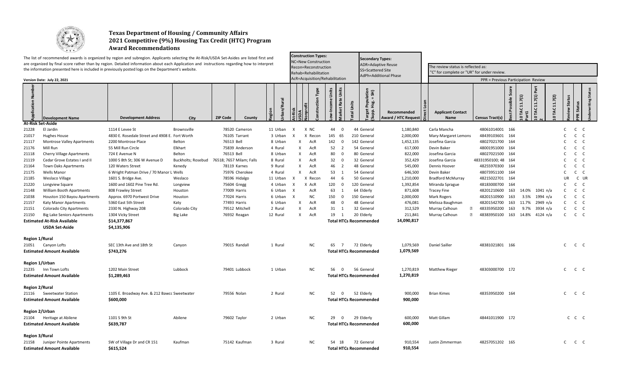

## **Texas Department of Housing / Community Affairs 2021 Competitive (9%) Housing Tax Credit (HTC) Program Award Recommendations**

|                       |                                             | The list of recommended awards is organized by region and subregion. Applicants selecting the At-Risk/USDA Set-Asides are listed first and<br>are organized by final score rather than by region. Detailed information about each Application and instructions regarding how to interpret<br>the information presented here is included in previously posted logs on the Department's website. |                    |                                             |                     | <b>Construction Types:</b><br><b>NC=New Construction</b><br>Recon=Reconstruction |                                                    | <b>Secondary Types:</b><br><b>ADR=Adaptive Reuse</b><br>The review status is reflected as:<br><b>SS=Scattered Site</b> |                                           |                                               |                                     |                                              |                                         |                    |                      |                |  |  |  |  |
|-----------------------|---------------------------------------------|------------------------------------------------------------------------------------------------------------------------------------------------------------------------------------------------------------------------------------------------------------------------------------------------------------------------------------------------------------------------------------------------|--------------------|---------------------------------------------|---------------------|----------------------------------------------------------------------------------|----------------------------------------------------|------------------------------------------------------------------------------------------------------------------------|-------------------------------------------|-----------------------------------------------|-------------------------------------|----------------------------------------------|-----------------------------------------|--------------------|----------------------|----------------|--|--|--|--|
|                       |                                             |                                                                                                                                                                                                                                                                                                                                                                                                |                    |                                             |                     | Rehab=Rehabilitation<br>AcR=Acquisition/Rehabilitation                           |                                                    | <b>AdPh=Additional Phase</b>                                                                                           |                                           | "C" for complete or "UR" for under review     |                                     |                                              |                                         |                    |                      |                |  |  |  |  |
|                       | Version Date: July 22, 2021                 |                                                                                                                                                                                                                                                                                                                                                                                                |                    |                                             |                     |                                                                                  |                                                    |                                                                                                                        |                                           |                                               | PPR = Previous Participation Review |                                              |                                         |                    |                      |                |  |  |  |  |
| nur<br>N              | <b>Development Name</b>                     | <b>Development Address</b>                                                                                                                                                                                                                                                                                                                                                                     | City               | <b>ZIP Code</b><br>County                   | <b>In/Rural</b>     | Type<br><b>nstruction</b>                                                        | larket Rate Units<br>Units<br>Income<br>otal Units | lation<br>= SH)<br>Popul<br>Hsg. =<br>Target<br>(Supp.                                                                 | Recommended<br><b>Award / HTC Request</b> | Loan<br>ë<br><b>Applicant Contact</b><br>Name | Census Tract(s)                     | Scor<br>AC 11.7(1)<br>Possible<br>$\ddot{a}$ | 11.7(1) Part<br>0 TAC 11.7(2)<br>10 TAC | <b>Status</b><br>₹ | Status<br><b>PPR</b> | Status         |  |  |  |  |
|                       | <b>At-Risk Set-Aside</b>                    |                                                                                                                                                                                                                                                                                                                                                                                                |                    |                                             |                     |                                                                                  |                                                    |                                                                                                                        |                                           |                                               |                                     |                                              |                                         |                    |                      |                |  |  |  |  |
| 21228                 | El Jardin                                   | 1114 E Levee St                                                                                                                                                                                                                                                                                                                                                                                | Brownsville        | 78520 Cameron                               | 11 Urban            | X NC<br>$\mathsf{X}$                                                             | 44<br>$\overline{0}$                               | 44 General                                                                                                             | 1,180,840                                 | Carla Mancha                                  | 48061014001 166                     |                                              |                                         | $\mathsf{C}$       | $\mathsf{C}$         | $\mathsf{C}$   |  |  |  |  |
| 21017                 | <b>Hughes House</b>                         | 4830 E. Rosedale Street and 4908 E. Fort Worth                                                                                                                                                                                                                                                                                                                                                 |                    | 76105 Tarrant                               | 3 Urban             | X Recon<br>x                                                                     | 145 65                                             | 210 General                                                                                                            | 2,000,000                                 | Mary-Margaret Lemons                          | 48439103601 164                     |                                              |                                         |                    | $\mathsf{C}$         | $\mathsf{C}$   |  |  |  |  |
| 21117                 | <b>Montrose Valley Apartments</b>           | 2200 Montrose Place                                                                                                                                                                                                                                                                                                                                                                            | Belton             | 76513 Bell                                  | 8 Urban             | X<br>AcR                                                                         | 142 0                                              | 142 General                                                                                                            | 1,452,135                                 | Josefina Garcia                               | 48027021700 164                     |                                              |                                         |                    | C                    | C <sub>1</sub> |  |  |  |  |
| 21176                 | Mill Run                                    | 55 Mill Run Circle                                                                                                                                                                                                                                                                                                                                                                             | Elkhart            | 75839 Anderson                              | 4 Rural             | X<br>AcR                                                                         | 52<br>$\overline{2}$                               | 54 General                                                                                                             | 617,000                                   | Devin Baker                                   | 48001951000 164                     |                                              |                                         |                    | C.                   | C              |  |  |  |  |
| 21118                 | <b>Cherry Village Apartments</b>            | 724 E Avenue N                                                                                                                                                                                                                                                                                                                                                                                 | Belton             | 76513 Bell                                  | 8 Urban             | X<br>AcR                                                                         | 80<br>$\overline{0}$                               | 80 General                                                                                                             | 822,000                                   | Josefina Garcia                               | 48027021500 164                     |                                              |                                         |                    | $\mathsf{C}$         | C <sub>1</sub> |  |  |  |  |
| 21119                 | Cedar Grove Estates I and II                | 1000 S 8th St; 306 W Avenue D                                                                                                                                                                                                                                                                                                                                                                  |                    | Buckholts; Rosebud 76518; 7657 Milam; Falls | 8 Rural             | X<br>AcR                                                                         | 32<br>$\overline{\mathbf{0}}$                      | 32 General                                                                                                             | 352,429                                   | Josefina Garcia                               | 48331950100; 48 164                 |                                              |                                         | C                  | C                    | $\mathsf{C}$   |  |  |  |  |
| 21164                 | <b>Town Oaks Apartments</b>                 | 120 Waters Street                                                                                                                                                                                                                                                                                                                                                                              | Kenedy             | 78119 Karnes                                | 9 Rural             | X<br>AcR                                                                         | 46<br>$\overline{2}$                               | 48 General                                                                                                             | 545,000                                   | Dennis Hoover                                 | 48255970300 164                     |                                              |                                         | C                  | C                    | C <sub>1</sub> |  |  |  |  |
| 21175                 | Wells Manor                                 | 6 Wright Patman Drive / 70 Manor L Wells                                                                                                                                                                                                                                                                                                                                                       |                    | 75976 Cherokee                              | 4 Rural             | X<br>AcR                                                                         | 53<br>$\overline{1}$                               | 54 General                                                                                                             | 646,500                                   | Devin Baker                                   | 48073951100 164                     |                                              |                                         | C<br>UR            | $\mathsf{C}$         | C <sub>1</sub> |  |  |  |  |
| 21185                 | Weslaco Village                             | 1601 S. Bridge Ave.<br>1600 and 1602 Pine Tree Rd.                                                                                                                                                                                                                                                                                                                                             | Weslaco            | 78596 Hidalgo                               | 11 Urban<br>4 Urban | X Recon<br>X<br>X AcR<br>X                                                       | 44<br>- 6<br>120<br>$\overline{\mathbf{0}}$        | 50 General<br>120 General                                                                                              | 1,210,000<br>1,392,854                    | <b>Bradford McMurray</b>                      | 48215022701 164<br>48183000700      | 164                                          |                                         | C                  | C UR<br>$\mathsf{C}$ | $\mathsf{C}$   |  |  |  |  |
| 21220                 | Longview Square<br>William Booth Apartments | 808 Frawley Street                                                                                                                                                                                                                                                                                                                                                                             | Longview           | 75604 Gregg<br>77009 Harris                 | 6 Urban             | X<br>AcR                                                                         | 63<br><sup>1</sup>                                 | 64 Elderly                                                                                                             | 871,608                                   | Miranda Sprague<br><b>Tracey Fine</b>         | 48201210600                         | 163<br>14.0%                                 | 1041 n/a                                | $\mathsf{C}$       | $C$ $C$              |                |  |  |  |  |
| 21148<br>21038        | Houston 150 Bayou Apartments                | Approx. 6970 Portwest Drive                                                                                                                                                                                                                                                                                                                                                                    | Houston<br>Houston | 77024 Harris                                | 6 Urban             | <b>NC</b><br>X                                                                   | 150<br>$\overline{0}$                              | 150 General                                                                                                            | 2,000,000                                 | <b>Mark Rogers</b>                            | 48201510900                         | 163<br>3.5%                                  | 1994 n/a                                | C.                 | $\mathsf{C}$         | $\mathsf{C}$   |  |  |  |  |
| 21157                 | Katy Manor Apartments                       | 5360 East 5th Street                                                                                                                                                                                                                                                                                                                                                                           | Katy               | 77493 Harris                                | 6 Urban             | X<br>AcR                                                                         | 48<br>$\overline{\mathbf{0}}$                      | 48 General                                                                                                             | 476,081                                   | Melissa Baughman                              | 48201542700                         | 163<br>11.7%                                 | 2949 n/a                                | C                  | $C$ $C$              |                |  |  |  |  |
| 21151                 | <b>Colorado City Apartments</b>             | 2330 N. Highway 208                                                                                                                                                                                                                                                                                                                                                                            | Colorado City      | 79512 Mitchell                              | 2 Rural             | X<br>AcR                                                                         | 31<br>1                                            | 32 General                                                                                                             | 312,529                                   | Murray Calhoun<br>2                           | 48335950200                         | 163<br>9.7%                                  | 3934 n/a                                | C.                 | $\mathsf{C}$         | C C            |  |  |  |  |
| 21150                 | <b>Big Lake Seniors Apartments</b>          | 1304 Vicky Street                                                                                                                                                                                                                                                                                                                                                                              | <b>Big Lake</b>    | 76932 Reagan                                | 12 Rural            | X<br>AcR                                                                         | 19<br><sup>1</sup>                                 | 20 Elderly                                                                                                             | 211,841                                   | $\sqrt{2}$<br>Murray Calhoun                  | 48383950100 163 14.8% 4124 n/a      |                                              |                                         | $\mathsf{C}$       | $C$ $C$              |                |  |  |  |  |
|                       | <b>Estimated At-Risk Available</b>          | \$14,377,867                                                                                                                                                                                                                                                                                                                                                                                   |                    |                                             |                     |                                                                                  | <b>Total HTCs Recommended</b>                      |                                                                                                                        | 14,090,817                                |                                               |                                     |                                              |                                         |                    |                      |                |  |  |  |  |
|                       | <b>USDA Set-Aside</b>                       | \$4,135,906                                                                                                                                                                                                                                                                                                                                                                                    |                    |                                             |                     |                                                                                  |                                                    |                                                                                                                        |                                           |                                               |                                     |                                              |                                         |                    |                      |                |  |  |  |  |
| <b>Region 1/Rural</b> |                                             |                                                                                                                                                                                                                                                                                                                                                                                                |                    |                                             |                     |                                                                                  |                                                    |                                                                                                                        |                                           |                                               |                                     |                                              |                                         |                    |                      |                |  |  |  |  |
| 21051                 | Canyon Lofts                                | SEC 13th Ave and 18th St                                                                                                                                                                                                                                                                                                                                                                       | Canyon             | 79015 Randall                               | 1 Rural             | ΝC                                                                               | 65<br>$\overline{7}$                               | 72 Elderly                                                                                                             | 1,079,569                                 | Daniel Sailler                                | 48381021801 166                     |                                              |                                         |                    | $C$ $C$ $C$          |                |  |  |  |  |
|                       | <b>Estimated Amount Available</b>           | \$743,276                                                                                                                                                                                                                                                                                                                                                                                      |                    |                                             |                     |                                                                                  | <b>Total HTCs Recommended</b>                      |                                                                                                                        | 1,079,569                                 |                                               |                                     |                                              |                                         |                    |                      |                |  |  |  |  |
|                       |                                             |                                                                                                                                                                                                                                                                                                                                                                                                |                    |                                             |                     |                                                                                  |                                                    |                                                                                                                        |                                           |                                               |                                     |                                              |                                         |                    |                      |                |  |  |  |  |
|                       | Region 1/Urban                              |                                                                                                                                                                                                                                                                                                                                                                                                |                    |                                             |                     |                                                                                  |                                                    |                                                                                                                        |                                           |                                               |                                     |                                              |                                         |                    |                      |                |  |  |  |  |
| 21235                 | Inn Town Lofts                              | 1202 Main Street                                                                                                                                                                                                                                                                                                                                                                               | Lubbock            | 79401 Lubbock                               | 1 Urban             | <b>NC</b>                                                                        | 56<br>$\mathbf 0$                                  | 56 General                                                                                                             | 1,270,819                                 | <b>Matthew Rieger</b>                         | 48303000700 172                     |                                              |                                         |                    | $C$ $C$ $C$          |                |  |  |  |  |
|                       | <b>Estimated Amount Available</b>           | \$1,289,463                                                                                                                                                                                                                                                                                                                                                                                    |                    |                                             |                     |                                                                                  | <b>Total HTCs Recommended</b>                      |                                                                                                                        | 1,270,819                                 |                                               |                                     |                                              |                                         |                    |                      |                |  |  |  |  |
| <b>Region 2/Rural</b> |                                             |                                                                                                                                                                                                                                                                                                                                                                                                |                    |                                             |                     |                                                                                  |                                                    |                                                                                                                        |                                           |                                               |                                     |                                              |                                         |                    |                      |                |  |  |  |  |
| 21116                 | Sweetwater Station                          | 1105 E. Broadway Ave. & 212 Bawcc Sweetwater                                                                                                                                                                                                                                                                                                                                                   |                    | 79556 Nolan                                 | 2 Rural             | NC.                                                                              | 52<br>$\overline{0}$                               | 52 Elderly                                                                                                             | 900,000                                   | <b>Brian Kimes</b>                            | 48353950200 164                     |                                              |                                         |                    | $C$ $C$ $C$          |                |  |  |  |  |
|                       | <b>Estimated Amount Available</b>           | \$600,000                                                                                                                                                                                                                                                                                                                                                                                      |                    |                                             |                     |                                                                                  | <b>Total HTCs Recommended</b>                      |                                                                                                                        | 900,000                                   |                                               |                                     |                                              |                                         |                    |                      |                |  |  |  |  |
|                       | Region 2/Urban                              |                                                                                                                                                                                                                                                                                                                                                                                                |                    |                                             |                     |                                                                                  |                                                    |                                                                                                                        |                                           |                                               |                                     |                                              |                                         |                    |                      |                |  |  |  |  |
| 21104                 | Heritage at Abilene                         | 1101 S 9th St                                                                                                                                                                                                                                                                                                                                                                                  | Abilene            | 79602 Taylor                                | 2 Urban             | NC.                                                                              | 29<br>$\overline{\mathbf{0}}$                      | 29 Elderly                                                                                                             | 600,000                                   | Matt Gillam                                   | 48441011900 172                     |                                              |                                         |                    | $C$ $C$ $C$          |                |  |  |  |  |
|                       | <b>Estimated Amount Available</b>           | \$639,787                                                                                                                                                                                                                                                                                                                                                                                      |                    |                                             |                     |                                                                                  | <b>Total HTCs Recommended</b>                      |                                                                                                                        | 600,000                                   |                                               |                                     |                                              |                                         |                    |                      |                |  |  |  |  |
| <b>Region 3/Rural</b> |                                             |                                                                                                                                                                                                                                                                                                                                                                                                |                    |                                             |                     |                                                                                  |                                                    |                                                                                                                        |                                           |                                               |                                     |                                              |                                         |                    |                      |                |  |  |  |  |
| 21158                 | Juniper Pointe Apartments                   | SW of Village Dr and CR 151                                                                                                                                                                                                                                                                                                                                                                    | Kaufman            | 75142 Kaufman                               | 3 Rural             | NC                                                                               | 54 18                                              | 72 General                                                                                                             | 910,554                                   | Justin Zimmerman                              | 48257051202 165                     |                                              |                                         |                    | $C$ $C$ $C$          |                |  |  |  |  |
|                       | <b>Estimated Amount Available</b>           | \$615,524                                                                                                                                                                                                                                                                                                                                                                                      |                    |                                             |                     |                                                                                  | <b>Total HTCs Recommended</b>                      |                                                                                                                        | 910,554                                   |                                               |                                     |                                              |                                         |                    |                      |                |  |  |  |  |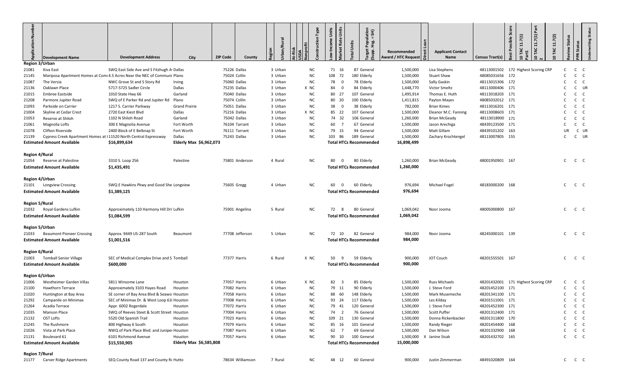| <b>Application Numb</b> | <b>Development Name</b>                                           | <b>Development Address</b>                                               | <b>City</b>             | <b>ZIP Code</b><br>County | Jrban/Rural | Type      | <b>Market Rate Units</b><br>Units<br>Income | : Population<br>Hsg. = SH)<br>otal Units<br>larget<br>غ<br>آ | Recommended<br>Award / HTC Request<br>宗 | ີ ຄ <sup>ອ</sup><br>ë<br><b>Applicant Contact</b><br>Name | Census Tract(s) | Part<br>Score<br>11.7(1)<br>0 TAC 11.7(2)<br>11.7(1)<br>sible<br>å,<br><b>IAC</b><br>TAC<br>$\circ$ | Status<br>teview | Status<br>ρĸ      | Status<br>aniting |
|-------------------------|-------------------------------------------------------------------|--------------------------------------------------------------------------|-------------------------|---------------------------|-------------|-----------|---------------------------------------------|--------------------------------------------------------------|-----------------------------------------|-----------------------------------------------------------|-----------------|-----------------------------------------------------------------------------------------------------|------------------|-------------------|-------------------|
| <b>Region 3/Urban</b>   |                                                                   |                                                                          |                         |                           |             |           |                                             |                                                              |                                         |                                                           |                 |                                                                                                     |                  |                   |                   |
| 21081                   | Kiva East                                                         | SWQ East Side Ave and S Fitzhugh A Dallas                                |                         | 75226 Dallas              | 3 Urban     | NC.       | 71 16                                       | 87 General                                                   | 1,500,000                               | Lisa Stephens                                             |                 | 48113001502 172 Highest Scoring CRP                                                                 | C                | $C$ $C$           |                   |
| 21145                   |                                                                   | Mariposa Apartment Homes at Comi 4.5 Acres Near the NEC of Communi Plano |                         | 75024 Collin              | 3 Urban     | <b>NC</b> | 108<br>72                                   | 180 Elderly                                                  | 1,500,000                               | <b>Stuart Shaw</b>                                        | 48085031656 172 |                                                                                                     | C                | $C$ $C$           |                   |
| 21087                   | The Versia                                                        | NWC Grove St and S Story Rd                                              | Irving                  | 75060 Dallas              | 3 Urban     | <b>NC</b> | 78<br>$\mathbf 0$                           | 78 Elderly                                                   | 1,500,000                               | Sally Gaskin                                              | 48113015306 172 |                                                                                                     | C.               | $C$ $C$           |                   |
| 21136                   | Oaklawn Place                                                     | 5717-5725 Sadler Circle                                                  | Dallas                  | 75235 Dallas              | 3 Urban     | X NC      | 84<br>$\overline{\mathbf{0}}$               | 84 Elderly                                                   | 1,448,770                               | Victor Smeltz                                             | 48113000406 171 |                                                                                                     | C.               | C UR              |                   |
| 21015                   | <b>Embree Eastside</b>                                            | 1010 State Hwy 66                                                        | Garland                 | 75040 Dallas              | 3 Urban     | NC.       | 80 27                                       | 107 General                                                  | 1,495,914                               | Thomas E. Huth                                            | 48113018203 171 |                                                                                                     | C                | C<br>$\mathsf{C}$ |                   |
| 21208                   | Parmore Jupiter Road                                              | SWQ of E Parker Rd and Jupiter Rd Plano                                  |                         | 75074 Collin              | 3 Urban     | <b>NC</b> | 80 20                                       | 100 Elderly                                                  | 1,411,815                               | Payton Mayes                                              | 48085032012 171 |                                                                                                     | C.               | $C$ $C$           |                   |
| 21093                   | Parkside on Carrier                                               | 1217 S. Carrier Parkway                                                  | <b>Grand Prairie</b>    | 75051 Dallas              | 3 Urban     | <b>NC</b> | 38<br>$\overline{\mathbf{0}}$               | 38 Elderly                                                   | 782,000                                 | <b>Brian Kimes</b>                                        | 48113016201 171 |                                                                                                     | C.               | $C$ $C$           |                   |
| 21004                   | Skyline at Cedar Crest                                            | 2720 East Kiest Blvd                                                     | Dallas                  | 75216 Dallas              | 3 Urban     | X NC      | 85 22                                       | 107 General                                                  | 1,500,000                               | Eleanor M.C. Fanning                                      | 48113008603 171 |                                                                                                     | C.               | $C$ $C$           |                   |
| 21053                   | Reserve at Shiloh                                                 | 1102 N Shiloh Road                                                       | Garland                 | 75042 Dallas              | 3 Urban     | ΝC        | 74 32                                       | 106 General                                                  | 1,260,000                               | <b>Brian McGeady</b>                                      | 48113018900 171 |                                                                                                     | $\epsilon$       | $C$ $C$           |                   |
| 21061                   | Magnolia Lofts                                                    | 300 E Magnolia Avenue                                                    | Fort Worth              | 76104 Tarrant             | 3 Urban     | <b>NC</b> | 60 7                                        | 67 General                                                   | 1,500,000                               | Jason Arechiga                                            | 48439123500 171 |                                                                                                     | C                | $C$ $C$           |                   |
| 21078                   | Clifton Riverside                                                 | 2400 Block of E Belknap St                                               | Fort Worth              | 76111 Tarrant             | 3 Urban     | <b>NC</b> | 79 15                                       | 94 General                                                   | 1,500,000                               | Matt Gillam                                               | 48439101202 163 |                                                                                                     | UR               | C UR              |                   |
| 21139                   | Cypress Creek Apartment Homes at I 11520 North Central Expressway |                                                                          | Dallas                  | 75243 Dallas              | 3 Urban     | NC        | 103 86                                      | 189 General                                                  | 1,500,000                               | Zachary Krochtengel                                       | 48113007805 155 |                                                                                                     | C                | C UR              |                   |
|                         | <b>Estimated Amount Available</b>                                 | \$16,899,634                                                             | Elderly Max \$6,962,073 |                           |             |           |                                             | <b>Total HTCs Recommended</b>                                | 16,898,499                              |                                                           |                 |                                                                                                     |                  |                   |                   |
|                         |                                                                   |                                                                          |                         |                           |             |           |                                             |                                                              |                                         |                                                           |                 |                                                                                                     |                  |                   |                   |
| <b>Region 4/Rural</b>   |                                                                   |                                                                          |                         |                           |             |           |                                             |                                                              |                                         |                                                           |                 |                                                                                                     |                  |                   |                   |
| 21054                   | Reserve at Palestine                                              | 3310 S. Loop 256                                                         | Palestine               | 75801 Anderson            | 4 Rural     | ΝC        | 80<br>$\overline{\mathbf{0}}$               | 80 Elderly                                                   | 1,260,000                               | <b>Brian McGeady</b>                                      | 48001950901 167 |                                                                                                     | $\mathsf{C}$     | $C$ $C$           |                   |
|                         | <b>Estimated Amount Available</b>                                 | \$1,435,491                                                              |                         |                           |             |           |                                             | <b>Total HTCs Recommended</b>                                | 1,260,000                               |                                                           |                 |                                                                                                     |                  |                   |                   |
|                         |                                                                   |                                                                          |                         |                           |             |           |                                             |                                                              |                                         |                                                           |                 |                                                                                                     |                  |                   |                   |
| <b>Region 4/Urban</b>   |                                                                   |                                                                          |                         | 75605 Gregg               | 4 Urban     |           |                                             |                                                              |                                         |                                                           | 48183000200 168 |                                                                                                     | $\mathsf{C}$     | $C$ $C$           |                   |
| 21101                   | <b>Longview Crossing</b>                                          | SWQ E Hawkins Pkwy and Good She Longview                                 |                         |                           |             | NC        | 60<br>$\mathbf 0$                           | 60 Elderly                                                   | 976,694<br>976,694                      | Michael Fogel                                             |                 |                                                                                                     |                  |                   |                   |
|                         | <b>Estimated Amount Available</b>                                 | \$1,389,125                                                              |                         |                           |             |           |                                             | <b>Total HTCs Recommended</b>                                |                                         |                                                           |                 |                                                                                                     |                  |                   |                   |
| <b>Region 5/Rural</b>   |                                                                   |                                                                          |                         |                           |             |           |                                             |                                                              |                                         |                                                           |                 |                                                                                                     |                  |                   |                   |
| 21032                   | Royal Gardens Lufkin                                              | Approximately 110 Harmony Hill Dri Lufkin                                |                         | 75901 Angelina            | 5 Rural     | ΝC        | 72 8                                        | 80 General                                                   | 1,069,042                               | Noor Jooma                                                | 48005000800 167 |                                                                                                     | $\mathsf{C}$     | $C$ $C$           |                   |
|                         | <b>Estimated Amount Available</b>                                 | \$1,084,599                                                              |                         |                           |             |           |                                             | <b>Total HTCs Recommended</b>                                | 1,069,042                               |                                                           |                 |                                                                                                     |                  |                   |                   |
|                         |                                                                   |                                                                          |                         |                           |             |           |                                             |                                                              |                                         |                                                           |                 |                                                                                                     |                  |                   |                   |
| <b>Region 5/Urban</b>   |                                                                   |                                                                          |                         |                           |             |           |                                             |                                                              |                                         |                                                           |                 |                                                                                                     |                  |                   |                   |
| 21033                   | <b>Beaumont Pioneer Crossing</b>                                  | Approx. 9449 US-287 South                                                | Beaumont                | 77708 Jefferson           | 5 Urban     | NC        | 72 10                                       | 82 General                                                   | 984,000                                 | Noor Jooma                                                | 48245000101 139 |                                                                                                     | C                | $C$ $C$           |                   |
|                         | <b>Estimated Amount Available</b>                                 | \$1,001,516                                                              |                         |                           |             |           |                                             | <b>Total HTCs Recommended</b>                                | 984,000                                 |                                                           |                 |                                                                                                     |                  |                   |                   |
|                         |                                                                   |                                                                          |                         |                           |             |           |                                             |                                                              |                                         |                                                           |                 |                                                                                                     |                  |                   |                   |
| <b>Region 6/Rural</b>   |                                                                   |                                                                          |                         |                           |             |           |                                             |                                                              |                                         |                                                           |                 |                                                                                                     |                  |                   |                   |
| 21003                   | <b>Tomball Senior Village</b>                                     | SEC of Medical Complex Drive and S Tomball                               |                         | 77377 Harris              | 6 Rural     | X NC      | 50<br>- 9                                   | 59 Elderly                                                   | 900,000                                 | JOT Couch                                                 | 48201555501 167 |                                                                                                     | C                | $C$ $C$           |                   |
|                         | <b>Estimated Amount Available</b>                                 | \$600,000                                                                |                         |                           |             |           |                                             | <b>Total HTCs Recommended</b>                                | 900,000                                 |                                                           |                 |                                                                                                     |                  |                   |                   |
| <b>Region 6/Urban</b>   |                                                                   |                                                                          |                         |                           |             |           |                                             |                                                              |                                         |                                                           |                 |                                                                                                     |                  |                   |                   |
| 21006                   | Westheimer Garden Villas                                          | 5811 Winsome Lane                                                        | Houston                 | 77057 Harris              | 6 Urban     | X NC      | 82 3                                        | 85 Elderly                                                   | 1,500,000                               | Russ Michaels                                             |                 | 48201432001 171 Highest Scoring CRP                                                                 | C.               | $C$ $C$           |                   |
| 21100                   | <b>Hawthorn Terrace</b>                                           | Approximately 3103 Hayes Road                                            | Houston                 | 77082 Harris              | 6 Urban     | NC.       | 79 11                                       | 90 Elderly                                                   | 1,500,000                               | J. Steve Ford                                             | 48201452100 171 |                                                                                                     | C.               | $C$ $C$           |                   |
| 21020                   | Huntington at Bay Area                                            | SE corner of Bay Area Blvd & Seawol Houston                              |                         | 77058 Harris              | 6 Urban     | NC.       | 88 60                                       | 148 Elderly                                                  | 1,500,000                               | Mark Musemeche                                            | 48201341100 171 |                                                                                                     | $\mathsf{C}$     | $C$ $C$           |                   |
| 21292                   | Campanile on Minimax                                              | SEC of Minimax Dr. & West Loop 61( Houston                               |                         | 77008 Harris              | 6 Urban     | <b>NC</b> | 93 24                                       | 117 Elderly                                                  | 1,500,000                               | Les Kilday                                                | 48201511001 171 |                                                                                                     | C                | $C$ $C$           |                   |
| 21264                   | Acadia Terrace                                                    | Appr. 6002 Rogerdale                                                     | Houston                 | 77072 Harris              | 6 Urban     | ΝC        | 79 41                                       | 120 General                                                  | 1,500,000                               | J. Steve Ford                                             | 48201452300 171 |                                                                                                     | $\mathsf{C}$     | $C$ $C$           |                   |
| 21035                   | <b>Manson Place</b>                                               | SWQ of Reeves Steet & Scott Street Houston                               |                         | 77004 Harris              | 6 Urban     | ΝC        | 74 2                                        | 76 General                                                   | 1,500,000                               | Scott Puffer                                              | 48201312400 171 |                                                                                                     | C                | $C$ $C$           |                   |
| 21132                   | OST Lofts                                                         | 5520 Old Spanish Trail                                                   | Houston                 | 77023 Harris              | 6 Urban     | NC.       | 109 21                                      | 130 General                                                  | 1,500,000                               | Donna Rickenbacker                                        | 48201311800 170 |                                                                                                     | C                | $C$ $C$           |                   |
| 21245                   | The Rushmore                                                      | 800 Highway 6 South                                                      | Houston                 | 77079 Harris              | 6 Urban     | ΝC        | 85 16                                       | 101 General                                                  | 1,500,000                               | <b>Randy Rieger</b>                                       | 48201454400 168 |                                                                                                     | C                | $C$ $C$           |                   |
| 21026                   | Vista at Park Place                                               | NWQ of Park Place Blvd. and Juniper Houston                              |                         | 77087 Harris              | 6 Urban     | ΝC        | 62 7                                        | 69 General                                                   | 1,500,000                               | Dan Wilson                                                | 48201332900 168 |                                                                                                     | C                | $C$ $C$           |                   |
| 21131                   | Boulevard 61                                                      | 6101 Richmond Avenue                                                     | Houston                 | 77057 Harris              | 6 Urban     | NC        | 90 10                                       | 100 General                                                  | 1,500,000                               | X Janine Sisak                                            | 48201432702 165 |                                                                                                     | $\mathsf{C}$     | $C$ $C$           |                   |
|                         | <b>Estimated Amount Available</b>                                 | \$15,550,905                                                             | Elderly Max \$6,585,808 |                           |             |           |                                             | <b>Total HTCs Recommended</b>                                | 15,000,000                              |                                                           |                 |                                                                                                     |                  |                   |                   |
|                         |                                                                   |                                                                          |                         |                           |             |           |                                             |                                                              |                                         |                                                           |                 |                                                                                                     |                  |                   |                   |
| <b>Region 7/Rural</b>   |                                                                   |                                                                          |                         |                           |             |           |                                             |                                                              |                                         |                                                           |                 |                                                                                                     |                  |                   |                   |
|                         | 21177 Carver Ridge Apartments                                     | SEQ County Road 137 and County Rc Hutto                                  |                         | 78634 Williamson          | 7 Rural     | NC.       | 48 12                                       | 60 General                                                   | 900,000                                 | Justin Zimmerman                                          | 48491020809 164 |                                                                                                     |                  | $C$ $C$ $C$       |                   |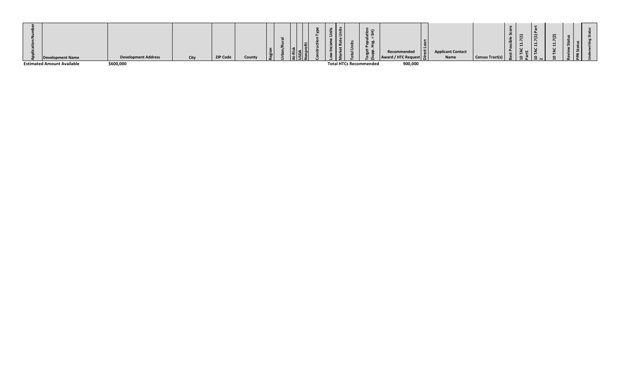| <b>Development Name</b>           | <b>Development Address</b> | City | <b>ZIP Code</b> | County | - 흑<br>ഄ | . .<br>147<br>500<br>ப் ப |  |                               | $\Rightarrow$<br>$\overline{a}$<br>$\overline{u}$ | Recommended<br>Award / HTC Request   능 | <b>Applicant Contact</b><br>Name | Census Tract(s) | v, | $\overline{\phantom{0}}$ | -<br>Ē |  |
|-----------------------------------|----------------------------|------|-----------------|--------|----------|---------------------------|--|-------------------------------|---------------------------------------------------|----------------------------------------|----------------------------------|-----------------|----|--------------------------|--------|--|
| <b>Estimated Amount Available</b> | \$600,000                  |      |                 |        |          |                           |  | <b>Total HTCs Recommended</b> |                                                   | 900,000                                |                                  |                 |    |                          |        |  |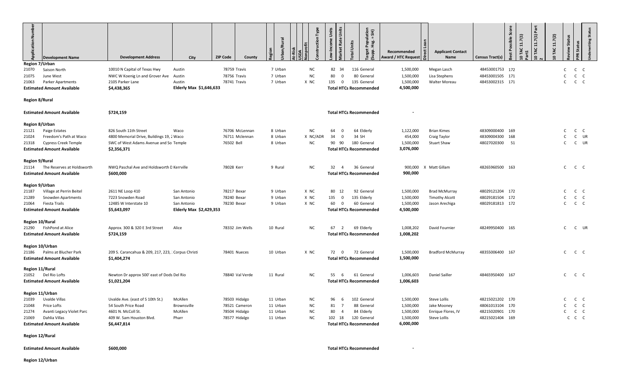| Numb<br>pplication<br><b>Development Name</b>                                                    | <b>Development Address</b>                                         | City                    | <b>ZIP Code</b> | County | rban/Rural |           | struction Type | Income Units | Units<br>arket Rate     | Units<br>otal | ulation<br>= SH)<br>호 동<br>ທັ                | Recommended<br>Award / HTC Request | <b>Applicant Contact</b><br>Name | Census Tract(s) | Score<br>Possible<br>ëst | (11.7(1)<br>TAC | 11.7(1) Part<br>$\circ$ | TAC 11.7(2) | Status<br>eview | atus<br>5    | <b>Inderwriting Status</b> |
|--------------------------------------------------------------------------------------------------|--------------------------------------------------------------------|-------------------------|-----------------|--------|------------|-----------|----------------|--------------|-------------------------|---------------|----------------------------------------------|------------------------------------|----------------------------------|-----------------|--------------------------|-----------------|-------------------------|-------------|-----------------|--------------|----------------------------|
| Region 7/Urban<br>21070<br>Saison North                                                          | 10010 N Capital of Texas Hwy                                       | Austin                  | 78759 Travis    |        | 7 Urban    | <b>NC</b> |                | 82           | - 34                    |               | 116 General                                  | 1,500,000                          | Megan Lasch                      | 48453001753 172 |                          |                 |                         |             | C               | $\mathsf{C}$ | $\mathsf{C}$               |
| 21075<br>June West                                                                               | NWC W Koenig Ln and Grover Ave                                     | Austin                  | 78756 Travis    |        | 7 Urban    | <b>NC</b> |                | 80           | $\mathbf 0$             |               | 80 General                                   | 1,500,000                          | Lisa Stephens                    | 48453001505 171 |                          |                 |                         |             |                 | $\mathsf{C}$ | C                          |
| <b>Parker Apartments</b><br>21063                                                                | 2105 Parker Lane                                                   | Austin                  | 78741 Travis    |        | 7 Urban    | X NC      |                | 135          | $\overline{\mathbf{0}}$ | 135 General   |                                              | 1,500,000                          | <b>Walter Moreau</b>             | 48453002315 171 |                          |                 |                         |             | $\mathsf{C}$    | $\mathsf{C}$ | $\mathsf{C}$               |
| <b>Estimated Amount Available</b>                                                                | \$4,438,365                                                        | Elderly Max \$1,646,633 |                 |        |            |           |                |              |                         |               | <b>Total HTCs Recommended</b>                | 4,500,000                          |                                  |                 |                          |                 |                         |             |                 |              |                            |
| <b>Region 8/Rural</b>                                                                            |                                                                    |                         |                 |        |            |           |                |              |                         |               |                                              |                                    |                                  |                 |                          |                 |                         |             |                 |              |                            |
| <b>Estimated Amount Available</b>                                                                | \$724,159                                                          |                         |                 |        |            |           |                |              |                         |               | <b>Total HTCs Recommended</b>                |                                    |                                  |                 |                          |                 |                         |             |                 |              |                            |
| <b>Region 8/Urban</b>                                                                            |                                                                    |                         |                 |        |            |           |                |              |                         |               |                                              |                                    |                                  |                 |                          |                 |                         |             |                 |              |                            |
| Paige Estates<br>21121                                                                           | 826 South 11th Street                                              | Waco                    | 76706 McLennan  |        | 8 Urban    | <b>NC</b> |                | 64           | - 0                     |               | 64 Elderly                                   | 1,122,000                          | <b>Brian Kimes</b>               | 48309000400 169 |                          |                 |                         |             |                 | $\mathsf{C}$ | $\mathsf{C}$               |
| Freedom's Path at Waco<br>21024                                                                  | 4800 Memorial Drive, Buildings 19, 2 Waco                          |                         | 76711 Mclennan  |        | 8 Urban    |           | X NC/ADR       | 34           | $\overline{0}$          | 34 SH         |                                              | 454,000                            | Craig Taylor                     | 48309004300 168 |                          |                 |                         |             |                 | $\mathsf{C}$ | UR                         |
| <b>Cypress Creek Temple</b><br>21318<br><b>Estimated Amount Available</b>                        | SWC of West Adams Avenue and So Temple<br>\$2,356,371              |                         | 76502 Bell      |        | 8 Urban    | <b>NC</b> |                | 90           | 90                      |               | 180 General<br><b>Total HTCs Recommended</b> | 1,500,000<br>3,076,000             | <b>Stuart Shaw</b>               | 48027020300 51  |                          |                 |                         |             | C.              | $\mathsf{C}$ | UR                         |
| <b>Region 9/Rural</b>                                                                            |                                                                    |                         |                 |        |            |           |                |              |                         |               |                                              |                                    |                                  |                 |                          |                 |                         |             |                 |              |                            |
| The Reserves at Holdsworth<br>21114                                                              | NWQ Paschal Ave and Holdsworth D Kerrville                         |                         | 78028 Kerr      |        | 9 Rural    | <b>NC</b> |                | 32           | $\overline{4}$          |               | 36 General                                   | 900,000                            | X Matt Gillam                    | 48265960500 163 |                          |                 |                         |             | $\mathsf{C}$    | $C$ $C$      |                            |
| <b>Estimated Amount Available</b>                                                                | \$600,000                                                          |                         |                 |        |            |           |                |              |                         |               | <b>Total HTCs Recommended</b>                | 900,000                            |                                  |                 |                          |                 |                         |             |                 |              |                            |
| <b>Region 9/Urban</b>                                                                            |                                                                    |                         |                 |        |            |           |                |              |                         |               |                                              |                                    |                                  |                 |                          |                 |                         |             |                 |              |                            |
| Village at Perrin Beitel<br>21187                                                                | 2611 NE Loop 410                                                   | San Antonio             | 78217 Bexar     |        | 9 Urban    | X NC      |                | 80           | 12                      |               | 92 General                                   | 1,500,000                          | <b>Brad McMurray</b>             | 48029121204 172 |                          |                 |                         |             | C.              | $\mathsf{C}$ | $\mathsf{C}$               |
| Snowden Apartments<br>21289                                                                      | 7223 Snowden Road                                                  | San Antonio             | 78240 Bexar     |        | 9 Urban    | X NC      |                | 135          | $\overline{\mathbf{0}}$ | 135 Elderly   |                                              | 1,500,000                          | <b>Timothy Alcott</b>            | 48029181504 172 |                          |                 |                         |             |                 | $\mathsf{C}$ | $\mathsf{C}$               |
| <b>Fiesta Trails</b><br>21064                                                                    | 12485 W Interstate 10                                              | San Antonio             | 78230 Bexar     |        | 9 Urban    | X NC      |                | 60           | $\overline{\mathbf{0}}$ |               | 60 General                                   | 1,500,000                          | Jason Arechiga                   | 48029181813 172 |                          |                 |                         |             | C               | $C$ $C$      |                            |
| <b>Estimated Amount Available</b>                                                                | \$5,643,097                                                        | Elderly Max \$2,429,353 |                 |        |            |           |                |              |                         |               | <b>Total HTCs Recommended</b>                | 4,500,000                          |                                  |                 |                          |                 |                         |             |                 |              |                            |
| <b>Region 10/Rural</b><br><b>FishPond at Alice</b><br>21290<br><b>Estimated Amount Available</b> | Approx. 300 & 320 E 3rd Street<br>\$724,159                        | Alice                   | 78332 Jim Wells |        | 10 Rural   | <b>NC</b> |                | 67           | 2                       |               | 69 Elderly<br><b>Total HTCs Recommended</b>  | 1,008,202<br>1,008,202             | David Fournier                   | 48249950400 165 |                          |                 |                         |             | C               | $\mathsf{C}$ | UR                         |
| Region 10/Urban                                                                                  |                                                                    |                         |                 |        |            |           |                |              |                         |               |                                              |                                    |                                  |                 |                          |                 |                         |             |                 |              |                            |
| Palms at Blucher Park<br>21186<br><b>Estimated Amount Available</b>                              | 209 S. Carancahua & 209, 217, 223, . Corpus Christi<br>\$1,404,274 |                         | 78401 Nueces    |        | 10 Urban   | X NC      |                | 72 0         |                         |               | 72 General<br><b>Total HTCs Recommended</b>  | 1,500,000<br>1,500,000             | <b>Bradford McMurray</b>         | 48355006400 167 |                          |                 |                         |             | $C$ $C$ $C$     |              |                            |
| Region 11/Rural                                                                                  |                                                                    |                         |                 |        |            |           |                |              |                         |               |                                              |                                    |                                  |                 |                          |                 |                         |             |                 |              |                            |
| Del Rio Lofts<br>21052<br><b>Estimated Amount Available</b>                                      | Newton Dr approx 500' east of Dods Del Rio<br>\$1,021,204          |                         | 78840 Val Verde |        | 11 Rural   | <b>NC</b> |                | 55           | 6                       |               | 61 General<br><b>Total HTCs Recommended</b>  | 1,006,603<br>1,006,603             | Daniel Sailler                   | 48465950400 167 |                          |                 |                         |             | $C$ $C$ $C$     |              |                            |
| Region 11/Urban                                                                                  |                                                                    |                         |                 |        |            |           |                |              |                         |               |                                              |                                    |                                  |                 |                          |                 |                         |             |                 |              |                            |
| Uvalde Villas<br>21039                                                                           | Uvalde Ave. (east of S 10th St.)                                   | McAllen                 | 78503 Hidalgo   |        | 11 Urban   | <b>NC</b> |                | 96           | - 6                     | 102 General   |                                              | 1,500,000                          | Steve Lollis                     | 48215021202 170 |                          |                 |                         |             | $C$ $C$ $C$     |              |                            |
| 21048<br>Price Lofts                                                                             | 54 South Price Road                                                | Brownsville             | 78521 Cameron   |        | 11 Urban   | ΝC        |                | 81           | $\overline{7}$          |               | 88 General                                   | 1,500,000                          | Jake Mooney                      | 48061013104 170 |                          |                 |                         |             | $C$ $C$ $C$     |              |                            |
| 21274<br>Avanti Legacy Violet Parc                                                               | 4601 N. McColl St.                                                 | McAllen                 | 78504 Hidalgo   |        | 11 Urban   | <b>NC</b> |                | 80           | $\overline{4}$          |               | 84 Elderly                                   | 1,500,000                          | Enrique Flores, IV               | 48215020901 170 |                          |                 |                         |             | $\mathsf{C}$    | $C$ $C$      |                            |
| Dahlia Villas<br>21069                                                                           | 409 W. Sam Houston Blvd.                                           | Pharr                   | 78577 Hidalgo   |        | 11 Urban   | <b>NC</b> |                | 102 18       |                         | 120 General   |                                              | 1,500,000                          | Steve Lollis                     | 48215021404 169 |                          |                 |                         |             |                 | $C$ $C$ $C$  |                            |
| <b>Estimated Amount Available</b>                                                                | \$6,447,814                                                        |                         |                 |        |            |           |                |              |                         |               | <b>Total HTCs Recommended</b>                | 6,000,000                          |                                  |                 |                          |                 |                         |             |                 |              |                            |
| <b>Region 12/Rural</b>                                                                           |                                                                    |                         |                 |        |            |           |                |              |                         |               |                                              |                                    |                                  |                 |                          |                 |                         |             |                 |              |                            |
| <b>Estimated Amount Available</b>                                                                | \$600,000                                                          |                         |                 |        |            |           |                |              |                         |               | <b>Total HTCs Recommended</b>                |                                    |                                  |                 |                          |                 |                         |             |                 |              |                            |
| Region 12/Urban                                                                                  |                                                                    |                         |                 |        |            |           |                |              |                         |               |                                              |                                    |                                  |                 |                          |                 |                         |             |                 |              |                            |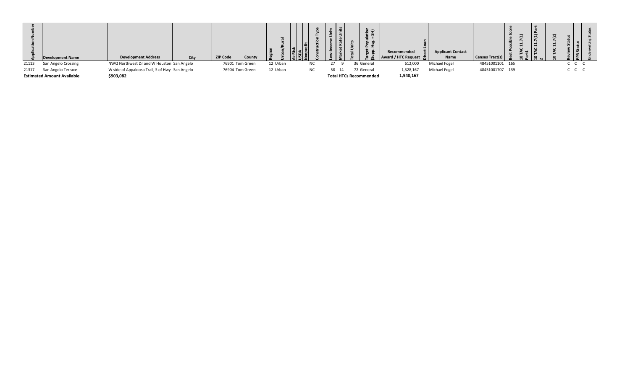|       | <b>Development Name</b>           | <b>Development Address</b>                       | City | <b>ZIP Code</b> | County | .__ä     | ۾ ۽ |    | $\Rightarrow$<br><u>_ທ</u>    | Recommended<br>Award / HTC Request   능 | <b>Applicant Contact</b><br>Name | <b>Census Tract(s)</b> | $\overline{\phantom{0}}$ |             |  |
|-------|-----------------------------------|--------------------------------------------------|------|-----------------|--------|----------|-----|----|-------------------------------|----------------------------------------|----------------------------------|------------------------|--------------------------|-------------|--|
| 21113 | San Angelo Crossing               | NWQ Northwest Dr and W Houston San Angelo        |      | 76901 Tom Green |        | 12 Urban |     |    | 36 General                    | 612,000                                | Michael Fogel                    | 48451001101 165        |                          | $C$ $C$ $C$ |  |
| 21317 | San Angelo Terrace                | W side of Appaloosa Trail, S of Hwy I San Angelo |      | 76904 Tom Green |        | 12 Urban |     | 58 | 72 General                    | 1,328,167                              | Michael Fogel                    | 48451001707 139        |                          | $C$ $C$ $C$ |  |
|       | <b>Estimated Amount Available</b> | \$903,082                                        |      |                 |        |          |     |    | <b>Total HTCs Recommended</b> | 1,940,167                              |                                  |                        |                          |             |  |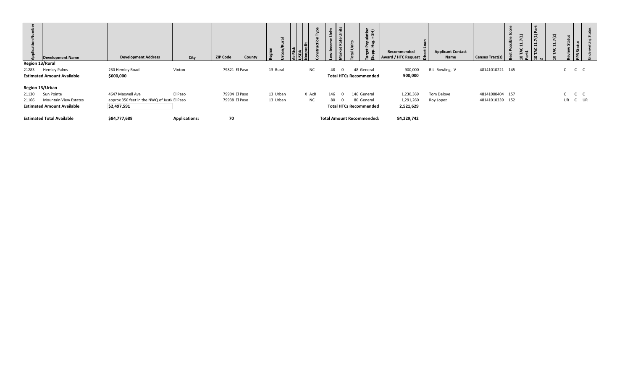| Region 13/Rural | <b>Development Name</b>                                                                            | <b>Development Address</b>                                                      | City                 | <b>ZIP Code</b><br>County      | $\overline{5}$<br>$\propto$<br>Region | e,          | Units<br>tion<br>SH)<br>∍<br>Units<br>Bard<br>Pop<br>č<br>ىد<br>$\overline{\phantom{a}}$<br>Target<br>(Supp.<br>$\overline{\phantom{0}}$ | Recommended<br>Award / HTC Request  | <b>Applicant Contact</b><br>Name | <b>Census Tract(s)</b>             | core<br>$\mathbf{a}$<br>7(1)<br>7(1)<br>es<br>H<br>$\overline{ }$<br>।<br>स्ट<br>ပ<br>$\sim$<br>$\ddot{ }$<br>$2\overline{a}$ | 1.7(2)<br><b>i</b><br>PPR Status<br><b>in</b><br>$\overline{ }$<br>TAC<br>$\circ$ |
|-----------------|----------------------------------------------------------------------------------------------------|---------------------------------------------------------------------------------|----------------------|--------------------------------|---------------------------------------|-------------|------------------------------------------------------------------------------------------------------------------------------------------|-------------------------------------|----------------------------------|------------------------------------|-------------------------------------------------------------------------------------------------------------------------------|-----------------------------------------------------------------------------------|
| 21283           | <b>Hemley Palms</b><br><b>Estimated Amount Available</b>                                           | 230 Hemley Road<br>\$600,000                                                    | Vinton               | 79821 El Paso                  | 13 Rural                              | NC          | 48<br>48 General<br>$\Omega$<br><b>Total HTCs Recommended</b>                                                                            | 900,000<br>900,000                  | R.L. Bowling, IV                 | 48141010221 145                    |                                                                                                                               | $C$ $C$ $C$                                                                       |
| 21130<br>21166  | Region 13/Urban<br>Sun Pointe<br><b>Mountain View Estates</b><br><b>Estimated Amount Available</b> | 4647 Maxwell Ave<br>approx 350 feet in the NWQ of Justic El Paso<br>\$2,497,591 | El Paso              | 79904 El Paso<br>79938 El Paso | 13 Urban<br>13 Urban                  | X AcR<br>NC | 146 General<br>146<br>80 General<br>80<br><b>Total HTCs Recommended</b>                                                                  | 1,230,369<br>1,291,260<br>2,521,629 | Tom Deloye<br>Roy Lopez          | 48141000404 157<br>48141010339 152 |                                                                                                                               | $C$ $C$ $C$<br>UR C UR                                                            |
|                 | <b>Estimated Total Available</b>                                                                   | \$84,777,689                                                                    | <b>Applications:</b> | 70                             |                                       |             | <b>Total Amount Recommended:</b>                                                                                                         | 84,229,742                          |                                  |                                    |                                                                                                                               |                                                                                   |